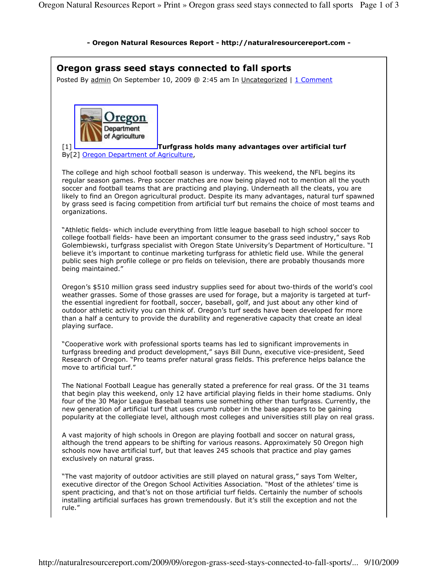## - Oregon Natural Resources Report - http://naturalresourcereport.com -

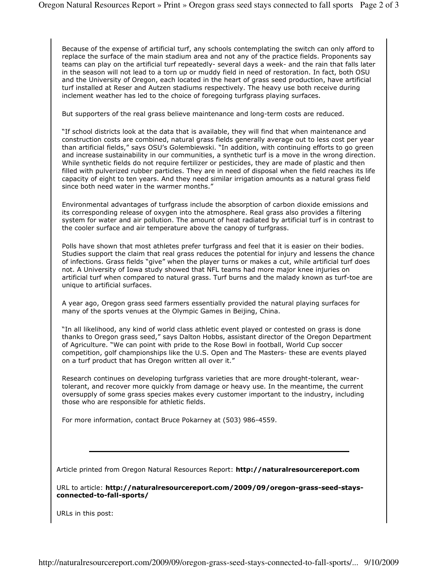Because of the expense of artificial turf, any schools contemplating the switch can only afford to replace the surface of the main stadium area and not any of the practice fields. Proponents say teams can play on the artificial turf repeatedly- several days a week- and the rain that falls later in the season will not lead to a torn up or muddy field in need of restoration. In fact, both OSU and the University of Oregon, each located in the heart of grass seed production, have artificial turf installed at Reser and Autzen stadiums respectively. The heavy use both receive during inclement weather has led to the choice of foregoing turfgrass playing surfaces.

But supporters of the real grass believe maintenance and long-term costs are reduced.

"If school districts look at the data that is available, they will find that when maintenance and construction costs are combined, natural grass fields generally average out to less cost per year than artificial fields," says OSU's Golembiewski. "In addition, with continuing efforts to go green and increase sustainability in our communities, a synthetic turf is a move in the wrong direction. While synthetic fields do not require fertilizer or pesticides, they are made of plastic and then filled with pulverized rubber particles. They are in need of disposal when the field reaches its life capacity of eight to ten years. And they need similar irrigation amounts as a natural grass field since both need water in the warmer months."

Environmental advantages of turfgrass include the absorption of carbon dioxide emissions and its corresponding release of oxygen into the atmosphere. Real grass also provides a filtering system for water and air pollution. The amount of heat radiated by artificial turf is in contrast to the cooler surface and air temperature above the canopy of turfgrass.

Polls have shown that most athletes prefer turfgrass and feel that it is easier on their bodies. Studies support the claim that real grass reduces the potential for injury and lessens the chance of infections. Grass fields "give" when the player turns or makes a cut, while artificial turf does not. A University of Iowa study showed that NFL teams had more major knee injuries on artificial turf when compared to natural grass. Turf burns and the malady known as turf-toe are unique to artificial surfaces.

A year ago, Oregon grass seed farmers essentially provided the natural playing surfaces for many of the sports venues at the Olympic Games in Beijing, China.

"In all likelihood, any kind of world class athletic event played or contested on grass is done thanks to Oregon grass seed," says Dalton Hobbs, assistant director of the Oregon Department of Agriculture. "We can point with pride to the Rose Bowl in football, World Cup soccer competition, golf championships like the U.S. Open and The Masters- these are events played on a turf product that has Oregon written all over it."

Research continues on developing turfgrass varieties that are more drought-tolerant, weartolerant, and recover more quickly from damage or heavy use. In the meantime, the current oversupply of some grass species makes every customer important to the industry, including those who are responsible for athletic fields.

For more information, contact Bruce Pokarney at (503) 986-4559.

Article printed from Oregon Natural Resources Report: http://naturalresourcereport.com

URL to article: http://naturalresourcereport.com/2009/09/oregon-grass-seed-staysconnected-to-fall-sports/

URLs in this post: